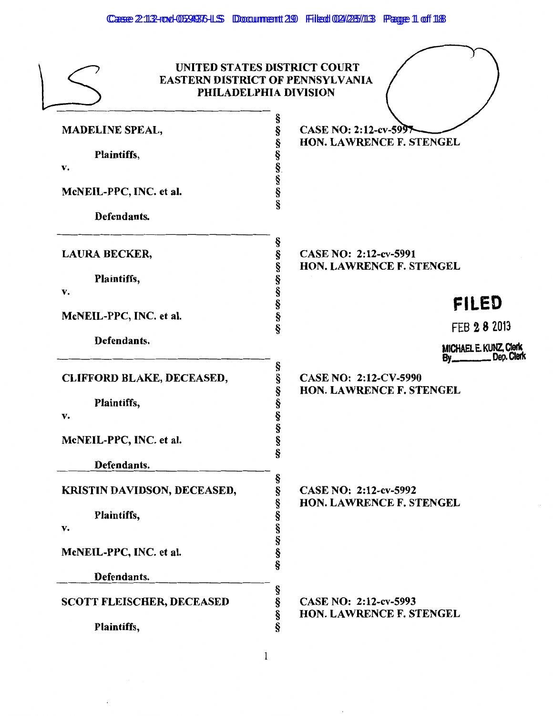|                                  | UNITED STATES DISTRICT COURT<br><b>EASTERN DISTRICT OF PENNSYLVANIA</b><br>PHILADELPHIA DIVISION |
|----------------------------------|--------------------------------------------------------------------------------------------------|
| <b>MADELINE SPEAL,</b>           | §<br>CASE NO: 2:12-cv-599<br>§<br>HON. LAWRENCE F. STENGEL                                       |
| Plaintiffs,                      |                                                                                                  |
| v.                               |                                                                                                  |
| McNEIL-PPC, INC. et al.          | 89 89 89 89 89                                                                                   |
| Defendants.                      |                                                                                                  |
| LAURA BECKER,                    | ş<br>ş<br>CASE NO: 2:12-cv-5991                                                                  |
| Plaintiffs,                      | HON. LAWRENCE F. STENGEL                                                                         |
| v.                               | SS 50 50 50 50                                                                                   |
|                                  | <b>FILED</b>                                                                                     |
| McNEIL-PPC, INC. et al.          | FEB 2 8 2013                                                                                     |
| Defendants.                      | <b>MICHAEL E. KUNZ, Clerk</b><br>_Dep. Clerk<br>By <sub>--</sub>                                 |
| <b>CLIFFORD BLAKE, DECEASED,</b> | s<br>§<br>CASE NO: 2:12-CV-5990<br>HON. LAWRENCE F. STENGEL<br>ş                                 |
| Plaintiffs,                      |                                                                                                  |
| v.                               | §<br>§                                                                                           |
| McNEIL-PPC, INC. et al.          | §                                                                                                |
| Defendants.                      | S                                                                                                |
| KRISTIN DAVIDSON, DECEASED,      | §<br>CASE NO: 2:12-cv-5992<br>ş<br><b>HON. LAWRENCE F. STENGEL</b>                               |
| Plaintiffs,                      | §                                                                                                |
| v.                               | §<br>§                                                                                           |
| McNEIL-PPC, INC. et al.          | §<br>§                                                                                           |
| Defendants.                      |                                                                                                  |
| <b>SCOTT FLEISCHER, DECEASED</b> | §<br>§<br>CASE NO: 2:12-cv-5993<br>Ş<br>HON. LAWRENCE F. STENGEL                                 |
| Plaintiffs,                      | §                                                                                                |

 $\bar{.}$ 

 $\cdot$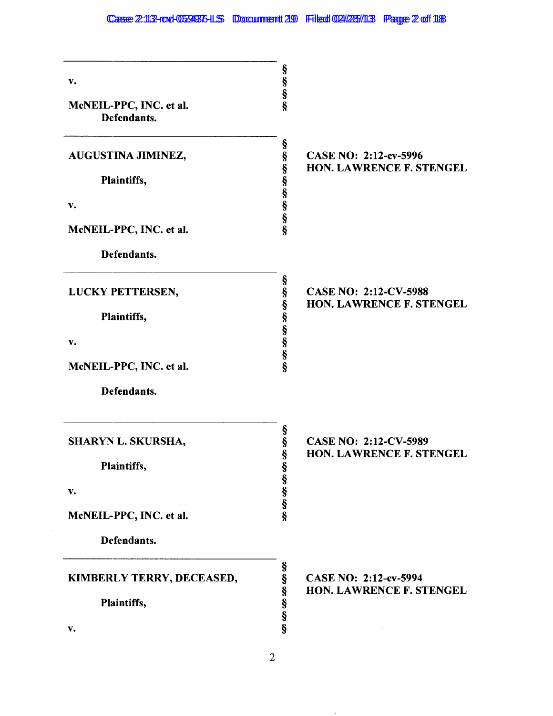| $\mathbf{v}$ .<br>McNEIL-PPC, INC. et al.<br>Defendants. | SO 50 50 50                                                                                   |
|----------------------------------------------------------|-----------------------------------------------------------------------------------------------|
| AUGUSTINA JIMINEZ,<br>Plaintiffs,                        | 69 09 09 09 09 09 09 09<br>CASE NO: 2:12-cv-5996<br><b>HON. LAWRENCE F. STENGEL</b>           |
| v.<br>McNEIL-PPC, INC. et al.<br>Defendants.             |                                                                                               |
| LUCKY PETTERSEN,<br>Plaintiffs,                          | 50 00 00 00 00 00 00 00<br><b>CASE NO: 2:12-CV-5988</b><br>HON. LAWRENCE F. STENGEL           |
| v.<br>McNEIL-PPC, INC. et al.<br>Defendants.             |                                                                                               |
| SHARYN L. SKURSHA,<br>Plaintiffs,<br>v.                  | §<br>§<br><b>CASE NO: 2:12-CV-5989</b><br>§<br><b>HON. LAWRENCE F. STENGEL</b><br>SO 60 00 00 |
| McNEIL-PPC, INC. et al.<br>Defendants.                   |                                                                                               |
| KIMBERLY TERRY, DECEASED,<br>Plaintiffs,<br>v.           | 89 89 89 89 89<br>CASE NO: 2:12-cv-5994<br>HON. LAWRENCE F. STENGEL                           |

 $\sim$   $\sim$ 

 $\sim$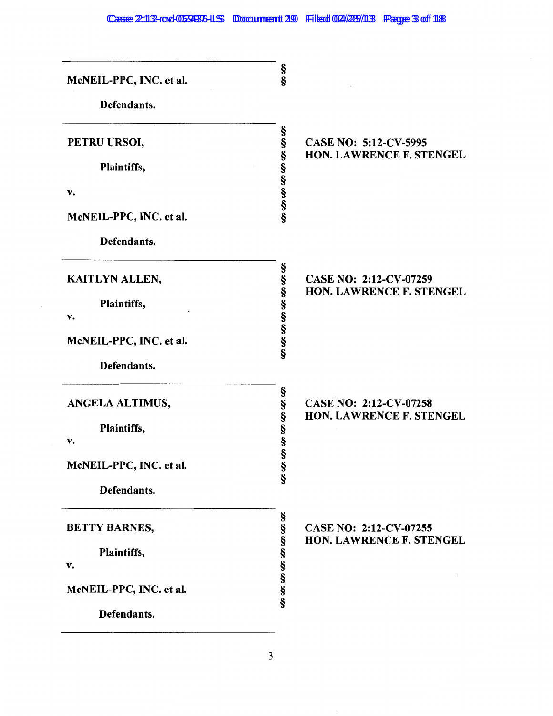| McNEIL-PPC, INC. et al. | §<br>§                                                                        |
|-------------------------|-------------------------------------------------------------------------------|
| Defendants.             |                                                                               |
| PETRU URSOI,            | CASE NO: 5:12-CV-5995                                                         |
| Plaintiffs,             | 89 89 99 99 99 99 99 99<br><b>HON. LAWRENCE F. STENGEL</b>                    |
| v.                      |                                                                               |
| McNEIL-PPC, INC. et al. |                                                                               |
| Defendants.             |                                                                               |
| KAITLYN ALLEN,          | §<br>§<br>CASE NO: 2:12-CV-07259<br>HON. LAWRENCE F. STENGEL                  |
| Plaintiffs,             | es es es es es es                                                             |
| v.                      |                                                                               |
| McNEIL-PPC, INC. et al. |                                                                               |
| Defendants.             |                                                                               |
| ANGELA ALTIMUS,         | §<br>§<br><b>CASE NO: 2:12-CV-07258</b><br><b>HON. LAWRENCE F. STENGEL</b>    |
| Plaintiffs,             | SS SS SS                                                                      |
| v.                      |                                                                               |
| McNEIL-PPC, INC. et al. | §<br>§                                                                        |
| Defendants.             |                                                                               |
| <b>BETTY BARNES,</b>    | 59 59 59 59 59 59 59 59<br>CASE NO: 2:12-CV-07255<br>HON. LAWRENCE F. STENGEL |
| Plaintiffs,             |                                                                               |
| v.                      |                                                                               |
| McNEIL-PPC, INC. et al. |                                                                               |
| Defendants.             |                                                                               |

 $\bar{z}$ 

 $\cdot$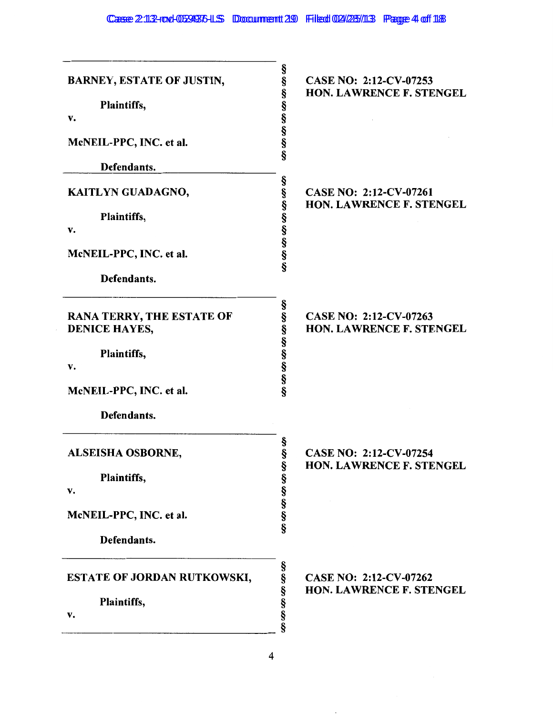| <b>BARNEY, ESTATE OF JUSTIN,</b><br>Plaintiffs,<br>v.<br>McNEIL-PPC, INC. et al.<br>Defendants.                         | §<br>§<br>CASE NO: 2:12-CV-07253<br>မွာ မွာ မွာ မွာ မွာ မွာ<br>HON. LAWRENCE F. STENGEL  |
|-------------------------------------------------------------------------------------------------------------------------|------------------------------------------------------------------------------------------|
| KAITLYN GUADAGNO,<br>Plaintiffs,<br>v.<br>McNEIL-PPC, INC. et al.                                                       | 69 89 99 99 99 99 99 99<br>CASE NO: 2:12-CV-07261<br>HON. LAWRENCE F. STENGEL            |
| Defendants.<br><b>RANA TERRY, THE ESTATE OF</b><br><b>DENICE HAYES,</b><br>Plaintiffs,<br>v.<br>McNEIL-PPC, INC. et al. | Ş<br>89 89 89 89 89 89 89<br>CASE NO: 2:12-CV-07263<br>HON. LAWRENCE F. STENGEL          |
| Defendants.<br>ALSEISHA OSBORNE,<br>Plaintiffs,<br>v.<br>McNEIL-PPC, INC. et al.                                        | §<br>§<br>CASE NO: 2:12-CV-07254<br>69 69 69 69 69 69<br><b>HON. LAWRENCE F. STENGEL</b> |
| Defendants.<br><b>ESTATE OF JORDAN RUTKOWSKI,</b><br>Plaintiffs,<br>v.                                                  | 69 69 69 69 69 69<br>CASE NO: 2:12-CV-07262<br><b>HON. LAWRENCE F. STENGEL</b>           |

 $\overline{\phantom{a}}$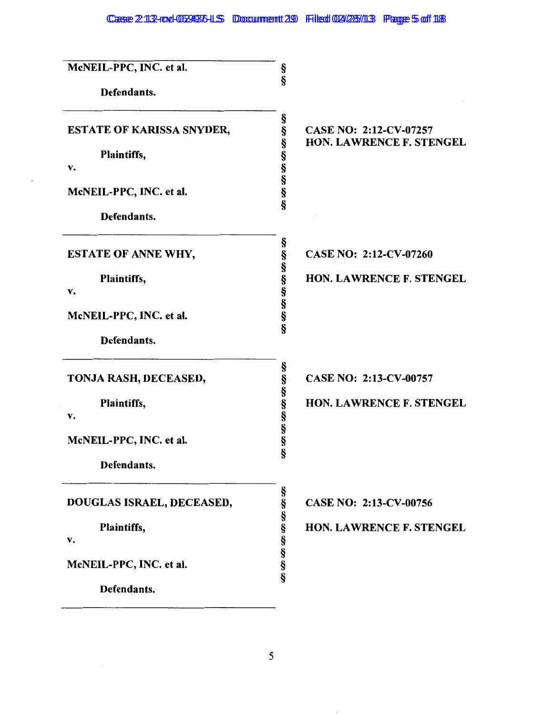# Case 2:112-rod-059936-LS Document 29 Filed 02/25/113 Page 5 of 118

| McNEIL-PPC, INC. et al.<br>Defendants.                | §<br>ş                                                                                   |
|-------------------------------------------------------|------------------------------------------------------------------------------------------|
| <b>ESTATE OF KARISSA SNYDER,</b><br>Plaintiffs,<br>v. | §<br>§<br>CASE NO: 2:12-CV-07257<br>69 89 99 99 99 99<br><b>HON. LAWRENCE F. STENGEL</b> |
| McNEIL-PPC, INC. et al.<br>Defendants.                |                                                                                          |
| <b>ESTATE OF ANNE WHY,</b>                            | §<br>§<br>CASE NO: 2:12-CV-07260                                                         |
| Plaintiffs,<br>v.                                     | 50 00 00 00 00 00<br><b>HON. LAWRENCE F. STENGEL</b>                                     |
| McNEIL-PPC, INC. et al.                               |                                                                                          |
| Defendants.                                           |                                                                                          |
| TONJA RASH, DECEASED,                                 | §<br>§<br>CASE NO: 2:13-CV-00757                                                         |
| Plaintiffs,<br>v.                                     | <b>HON. LAWRENCE F. STENGEL</b>                                                          |
| McNEIL-PPC, INC. et al.                               | တ္တို့တာတာတာတာ                                                                           |
| Defendants.                                           |                                                                                          |
| DOUGLAS ISRAEL, DECEASED,                             | CASE NO: 2:13-CV-00756                                                                   |
| Plaintiffs,<br>v.                                     | <b>HON. LAWRENCE F. STENGEL</b>                                                          |
| McNEIL-PPC, INC. et al.                               | 69 89 99 99 99 99 99 99                                                                  |
| Defendants.                                           |                                                                                          |

ł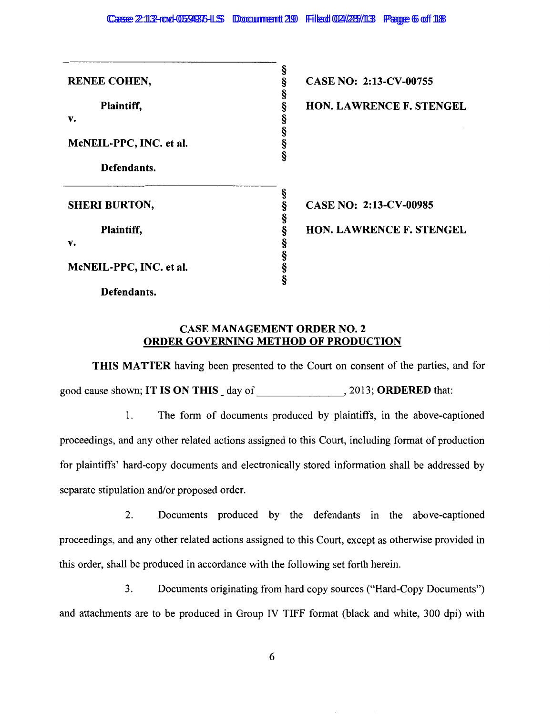| <b>RENEE COHEN,</b>     | §<br>§<br>CASE NO: 2:13-CV-00755     |
|-------------------------|--------------------------------------|
| Plaintiff,              | §<br><b>HON. LAWRENCE F. STENGEL</b> |
| v.                      |                                      |
| McNEIL-PPC, INC. et al. | က္ က က က က                           |
| Defendants.             |                                      |
|                         |                                      |
| <b>SHERI BURTON,</b>    | CASE NO: 2:13-CV-00985               |
| Plaintiff,              | HON. LAWRENCE F. STENGEL             |
| v.                      |                                      |
| McNEIL-PPC, INC. et al. | en en en en en en en en              |
| Defendants.             |                                      |

## CASE MANAGEMENT ORDER NO. 2 ORDER GOVERNING METHOD OF PRODUCTION

THIS MATTER having been presented to the Court on consent of the parties, and for good cause shown; IT IS ON THIS day of , 2013; ORDERED that:

1. The form of documents produced by plaintiffs, in the above-captioned proceedings, and any other related actions assigned to this Court, including format of production for plaintiffs' hard-copy documents and electronically stored information shall be addressed by separate stipulation and/or proposed order.

2. Documents produced by the defendants in the above-captioned proceedings., and any other related actions assigned to this Court, except as otherwise provided in this order, shall be produced in accordance with the following set forth herein.

3. Documents originating from hard copy sources ("Hard-Copy Documents") and attachments are to be produced in Group IV TIFF format (black and white, 300 dpi) with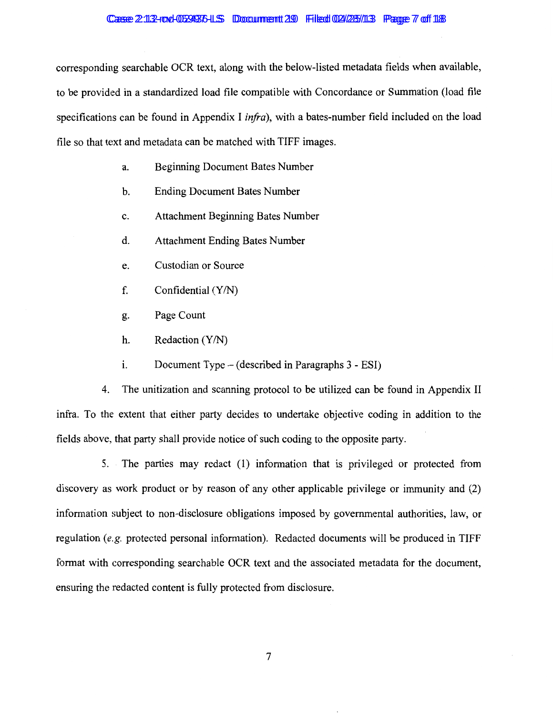corresponding searchable OCR text, along with the below-listed metadata fields when available, to be provided in a standardized load file compatible with Concordance or Summation (load file specifications can be found in Appendix I *infra),* with a bates-number field included on the load file so that text and metadata can be matched with TIFF images.

- a. Beginning Document Bates Number
- b. Ending Document Bates Number
- c. Attachment Beginning Bates Number
- d. Attachment Ending Bates Number
- e. Custodian or Source
- f. Confidential  $(Y/N)$
- g. Page Count
- h. Redaction  $(Y/N)$
- $1.$  Document Type (described in Paragraphs 3 ESI)

4. The unitization and scanning protocol to be utilized can be found in Appendix II infra. To the extent that either party decides to undertake objective coding in addition to the fields above, that party shall provide notice of such coding to the opposite party.

5. The parties may redact (1) information that is privileged or protected from discovery as work product or by reason of any other applicable privilege or immunity and (2) information subject to non-disclosure obligations imposed by governmental authorities, law, or regulation (e.g. protected personal information). Redacted documents will be produced in TIFF format with corresponding searchable OCR text and the associated metadata for the document, ensuring the redacted content is fully protected from disclosure.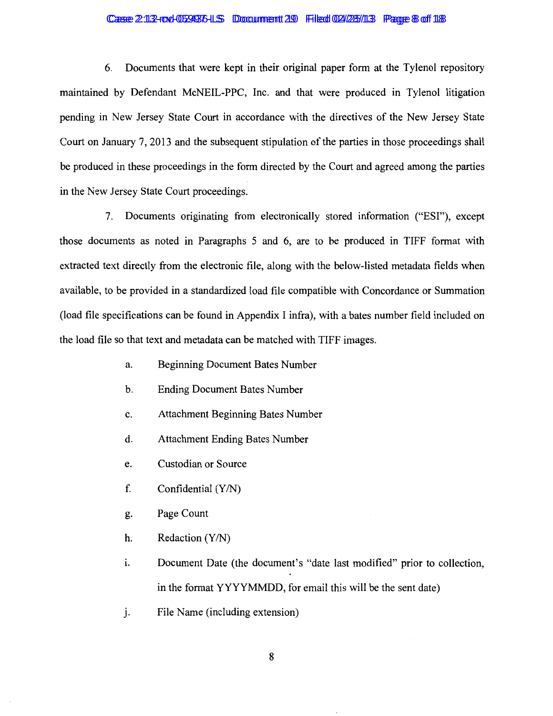#### Casse 2:113-rove-0534375-LS Doccumment 29 Filed 02/285/113 Pagge 8 of 118

6. Documents that were kept in their original paper form at the Tylenol repository maintained by Defendant McNEIL-PPC, Inc. and that were produced in Tylenol litigation pending in New Jersey State Court in accordance with the directives of the New Jersey State Court on January 7, 2013 and the subsequent stipulation of the parties in those proceedings shall be produced in these proceedings in the form directed by the Court and agreed among the parties in the New Jersey State Court proceedings.

7. Documents originating from electronically stored information ("ESI''), except those documents as noted in Paragraphs 5 and 6, are to be produced in TIFF format with extracted text directly from the electronic file, along with the below-listed metadata fields when available, to be provided in a standardized load file compatible with Concordance or Summation (load file specifications can be found in Appendix I infra), with a bates number field included on the load file so that text and metadata can be matched with TIFF images.

- a. Beginning Document Bates Number
- b. Ending Document Bates Number
- c. Attachment Beginning Bates Number
- d. Attachment Ending Bates Number
- e. Custodian or Source
- f. Confidential  $(Y/N)$
- g. Page Count
- h. Redaction  $(Y/N)$
- 1. Document Date (the document's "date last modified" prior to collection, in the format YYYYMMDD, for email this will be the sent date)
- j. File Name (including extension)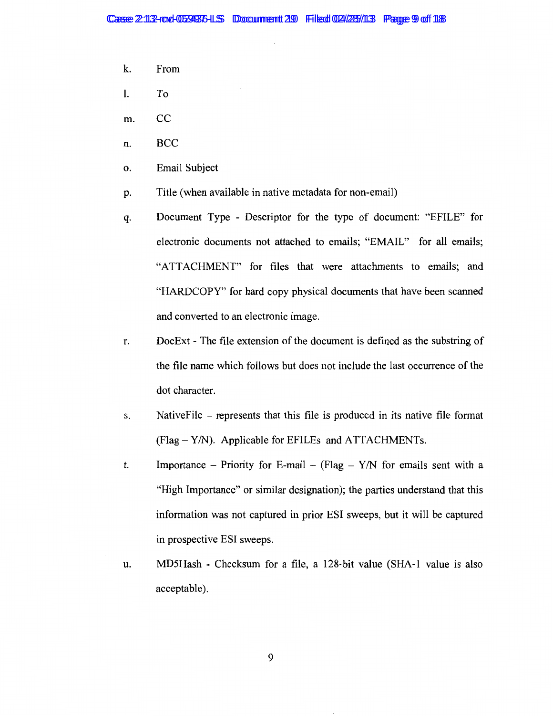- k. From
- 1. To
- m. CC
- n. BCC
- o. Email Subject
- p. Title (when available in native metadata for non-email)
- q. Document Type Descriptor for the type of document: "EFILE" for electronic documents not attached to emails; "EMAIL" for all emails; "ATTACHMENT" for files that were attachments to emails; and "HARDCOPY" for hard copy physical documents that have been scanned and converted to an electronic image.
- r. DocExt The file extension of the document is defined as the substring of the file name which follows but does not include the last occurrence of the dot character.
- s. NativeFile represents that this file is produced in its native file format  $(Flag - Y/N)$ . Applicable for EFILEs and ATTACHMENTs.
- t. Importance Priority for E-mail (Flag  $Y/N$  for emails sent with a "High Importance" or similar designation); the parties understand that this information was not captured in prior ESI sweeps, but it will be captured in prospective ESI sweeps.
- u. MD5Hash Checksum for a file, a 128-bit value (SHA-1 value is also acceptable).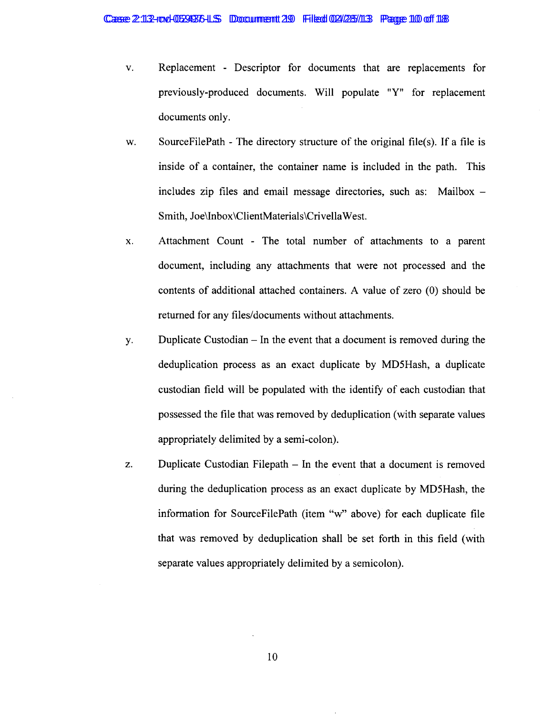- v. Replacement Descriptor for documents that are replacements for previously-produced documents. Will populate "Y" for replacement documents only.
- w. SourceFilePath The directory structure of the original file(s). If a file is inside of a container, the container name is included in the path. This includes zip files and email message directories, such as: Mailbox  $-$ Smith, Joe\lnbox\ClientMaterials\Crivella West.
- x. Attachment Count The total number of attachments to a parent document, including any attachments that were not processed and the contents of additional attached containers. A value of zero (0) should be returned for any files/documents without attachments.
- y. Duplicate Custodian- In the event that a document is removed during the deduplication process as an exact duplicate by MD5Hash, a duplicate custodian field will be populated with the identify of each custodian that possessed the file that was removed by deduplication (with separate values appropriately delimited by a semi-colon).
- z. Duplicate Custodian Filepath In the event that a document is removed during the deduplication process as an exact duplicate by MD5Hash, the information for SourceFilePath (item "w" above) for each duplicate file that was removed by deduplication shall be set forth in this field (with separate values appropriately delimited by a semicolon).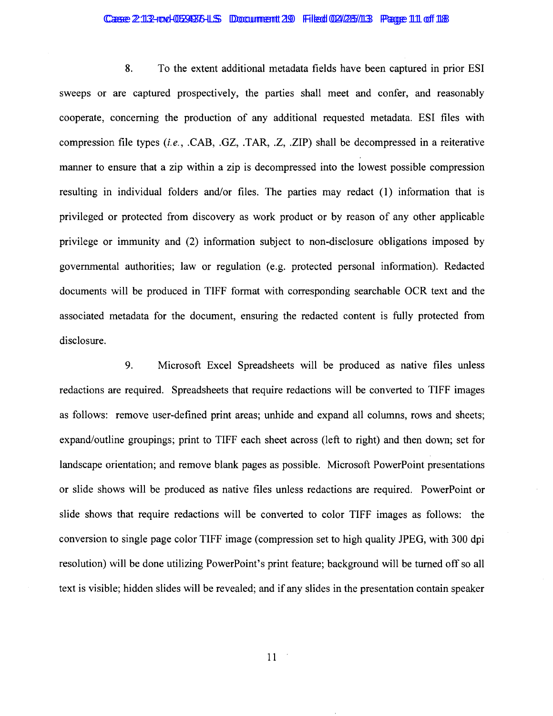#### Casse 2:113-royd-05394376-LS Doccumment 29 Filedd 024/285/113 Pagge 111 off 118

8. To the extent additional metadata fields have been captured in prior ESI sweeps or are captured prospectively, the parties shall meet and confer, and reasonably cooperate, concerning the production of any additional requested metadata. ESI files with compression file types *(i.e.,* .CAB, .GZ, .TAR, .Z, .ZIP) shall be decompressed in a reiterative manner to ensure that a zip within a zip is decompressed into the lowest possible compression resulting in individual folders and/or files. The parties may redact (1) information that is privileged or protected from discovery as work product or by reason of any other applicable privilege or immunity and (2) information subject to non-disclosure obligations imposed by governmental authorities; law or regulation (e.g. protected personal information). Redacted documents will be produced in TIFF format with corresponding searchable OCR text and the associated metadata for the document, ensuring the redacted content is fully protected from disclosure.

9. Microsoft Excel Spreadsheets will be produced as native files unless redactions are required. Spreadsheets that require redactions will be converted to TIFF images as follows: remove user-defined print areas; unhide and expand all columns, rows and sheets; expand/outline groupings; print to TIFF each sheet across (left to right) and then down; set for landscape orientation; and remove blank pages as possible. Microsoft PowerPoint presentations or slide shows will be produced as native files unless redactions are required. PowerPoint or slide shows that require redactions will be converted to color TIFF images as follows: the conversion to single page color TIFF image (compression set to high quality JPEG, with 300 dpi resolution) will be done utilizing PowerPoint's print feature; background will be turned off so all text is visible; hidden slides will be revealed; and if any slides in the presentation contain speaker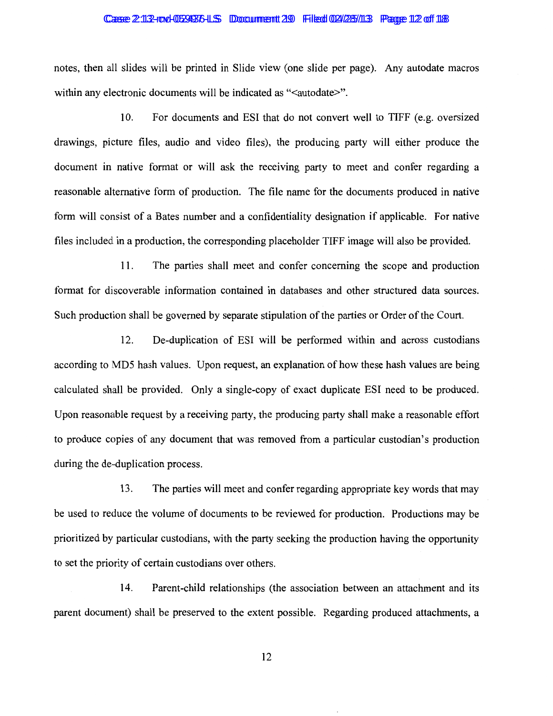#### Casse 2:113-row-0529376-LS Doccument 29 Filed 02/28/113 Page 12 of 118

notes, then all slides will be printed in Slide view (one slide per page). Any autodate macros within any electronic documents will be indicated as "<autodate>".

10. For documents and ESI that do not convert well to TIFF (e.g. oversized drawings, picture files, audio and video files), the producing party will either produce the document in native format or will ask the receiving party to meet and confer regarding a reasonable alternative form of production. The file name for the documents produced in native form will consist of a Bates number and a confidentiality designation if applicable. For native files included in a production, the corresponding placeholder TIFF image will also be provided.

11. The parties shall meet and confer concerning the scope and production format for discoverable information contained in databases and other structured data sources. Such production shall be governed by separate stipulation of the parties or Order of the Court.

12. De-duplication of ESI will be performed within and across custodians according to MD5 hash values. Upon request, an explanation of how these hash values are being calculated shall be provided. Only a single-copy of exact duplicate ESI need to be produced. Upon reasonable request by a receiving party, the producing party shall make a reasonable effort to produce copies of any document that was removed from a particular custodian's production during the de-duplication process.

13. The parties will meet and confer regarding appropriate key words that may be used to reduce the volume of documents to be reviewed for production. Productions may be prioritized by particular custodians, with the party seeking the production having the opportunity to set the priority of certain custodians over others.

14. Parent-child relationships (the association between an attachment and its parent document) shall be preserved to the extent possible. Regarding produced attachments, a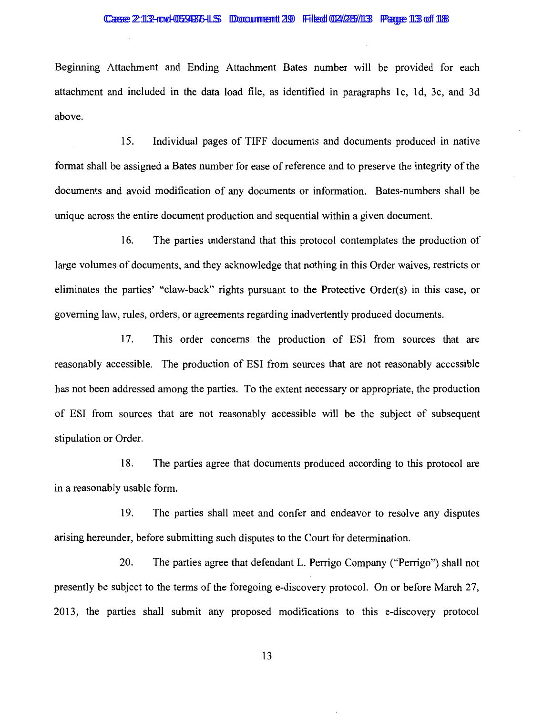### Casse 2:113-row-0529376-LS Doccument 29 Filed 02/28/113 Page 113 of 118

Beginning Attachment and Ending Attachment Bates number will be provided for each attachment and included in the data load file, as identified in paragraphs lc, 1d, 3c, and 3d above.

15. Individual pages of TIFF documents and documents produced in native format shall be assigned a Bates number for ease of reference and to preserve the integrity of the documents and avoid modification of any documents or information. Bates-numbers shall be unique across the entire document production and sequential within a given document.

16. The parties understand that this protocol contemplates the production of large volumes of documents, and they acknowledge that nothing in this Order waives, restricts or eliminates the parties' "claw-back" rights pursuant to the Protective Order(s) in this case, or governing law, rules, orders, or agreements regarding inadvertently produced documents.

17. This order concerns the production of ESI from sources that are reasonably accessible. The production of ESI from sources that are not reasonably accessible has not been addressed among the parties. To the extent necessary or appropriate, the production of ESI from sources that are not reasonably accessible will be the subject of subsequent stipulation or Order.

18. The parties agree that documents produced according to this protocol are in a reasonably usable form.

19. The parties shall meet and confer and endeavor to resolve any disputes arising hereunder, before submitting such disputes to the Court for determination.

20. The parties agree that defendant L. Perrigo Company ("Perrigo") shall not presently be subject to the terms of the foregoing e-discovery protocol. On or before March 27, 2013, the parties shall submit any proposed modifications to this e-discovery protocol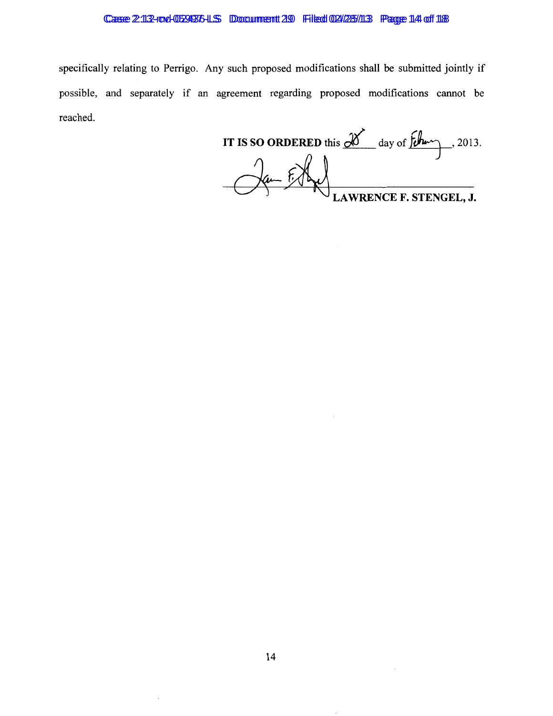### Case 2:13-rod-059936-LS Document 29 Filed 02/25/13 Page 14 of 18

specifically relating to Perrigo. Any such proposed modifications shall be submitted jointly if possible, and separately if an agreement regarding proposed modifications cannot be reached.

IT IS SO ORDERED this  $\frac{d}{dx}$  day of  $\frac{d}{dx}$ , 2013. LAWRENCE F. STENGEL, J.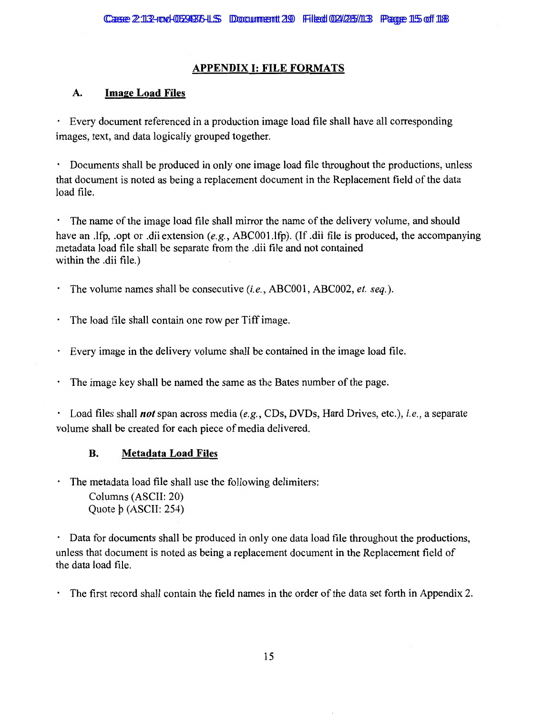# **APPENDIX I: FILE FORMATS**

# **A. Image Load Files**

· Every document referenced in a production image load file shall have all corresponding images, text, and data logically grouped together.

· Documents shall be produced in only one image load file throughout the productions, unless that document is noted as being a replacement document in the Replacement field of the data load file.

· The name of the image load file shall mirror the name of the delivery volume, and should have an .lfp, .opt or .dii extension *(e.g.,* ABCOOl.lfp). (If .dii file is produced, the accompanying metadata load file shall be separate from the .dii file and not contained within the .dii file.)

· The volume names shall be consecutive *(i.e.,* ABCOOI, ABC002, *et. seq.).* 

The load tile shall contain one row per Tiff image.

· Every image in the delivery volume shall be contained in the image load file.

The image key shall be named the same as the Bates number of the page.

· Load files shall *not* span across media *(e.g.,* CDs, DVDs, Hard Drives, etc.), *i.e.,* a separate volume shall be created for each piece of media delivered.

# **B. Metadata Load Files**

The metadata load file shall use the following delimiters: Columns (ASCII: 20) Quote b (ASCII: 254)

Data for documents shall be produced in only one data load file throughout the productions, unless that document is noted as being a replacement document in the Replacement field of the data load file.

The first record shall contain the field names in the order of the data set forth in Appendix 2.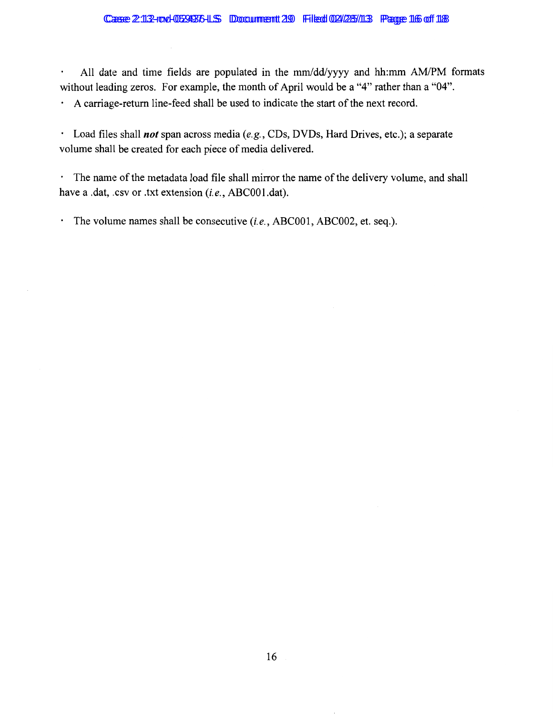### Case 2:13-rod-059936-LS Document 29 Filed 02/25/13 Page 16 of 18

All date and time fields are populated in the mm/dd/yyyy and hh:mm AM/PM formats  $\bullet$ without leading zeros. For example, the month of April would be a "4" rather than a "04".

· A carriage-return line-feed shall be used to indicate the start of the next record.

· Load files shall *not* span across media *(e.g.,* CDs, DVDs, Hard Drives, etc.); a separate volume shall be created for each piece of media delivered.

· The name of the metadata load file shall mirror the name of the delivery volume, and shall have a .dat, .csv or .txt extension (i.e., ABC001.dat).

· The volume names shall be consecutive *(i.e.,* ABCOOl, ABC002, et. seq.).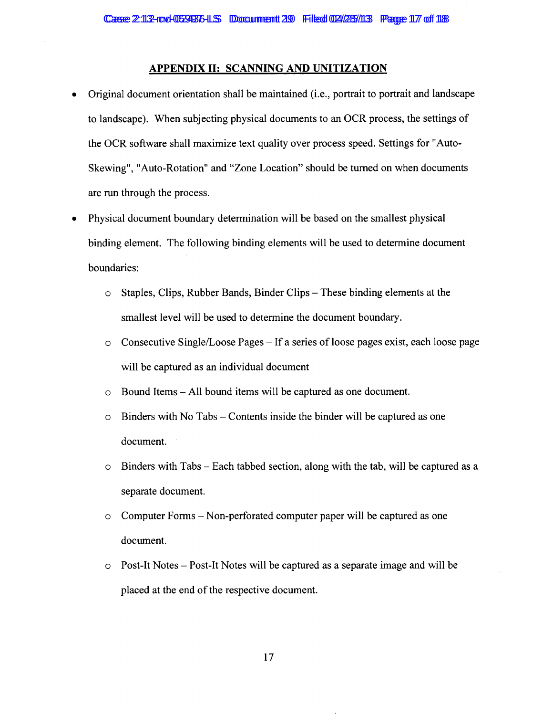### **APPENDIX II: SCANNING AND UNITIZATION**

- Original document orientation shall be maintained (i.e., portrait to portrait and landscape to landscape). When subjecting physical documents to an OCR process, the settings of the OCR software shall maximize text quality over process speed. Settings for "Auto-Skewing", "Auto-Rotation" and "Zone Location" should be turned on when documents are run through the process.
- Physical document boundary determination will be based on the smallest physical binding element. The following binding elements will be used to determine document boundaries:
	- o Staples, Clips, Rubber Bands, Binder Clips- These binding elements at the smallest level will be used to determine the document boundary.
	- $\circ$  Consecutive Single/Loose Pages If a series of loose pages exist, each loose page will be captured as an individual document
	- o Bound Items All bound items will be captured as one document.
	- $\circ$  Binders with No Tabs Contents inside the binder will be captured as one document.
	- $\circ$  Binders with Tabs Each tabbed section, along with the tab, will be captured as a separate document.
	- o Computer Forms- Non-perforated computer paper will be captured as one document.
	- o Post-It Notes- Post-It Notes will be captured as a separate image and will be placed at the end of the respective document.